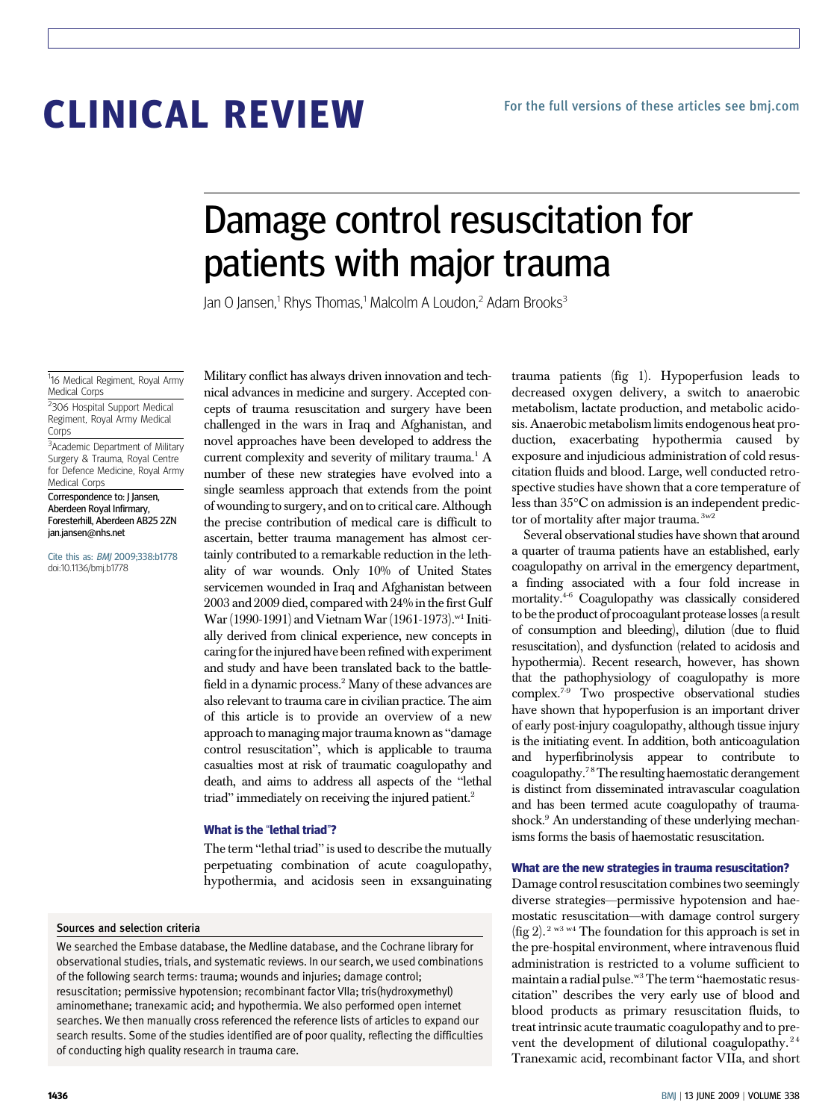# CLINICAL REVIEW

# Damage control resuscitation for patients with major trauma

Jan O Jansen,<sup>1</sup> Rhys Thomas,<sup>1</sup> Malcolm A Loudon,<sup>2</sup> Adam Brooks<sup>3</sup>

<sup>1</sup>16 Medical Regiment, Royal Army Medical Corps

<sup>2</sup>306 Hospital Support Medical Regiment, Royal Army Medical Corps

<sup>3</sup> Academic Department of Military Surgery & Trauma, Royal Centre for Defence Medicine, Royal Army Medical Corps

Correspondence to: J Jansen, Aberdeen Royal Infirmary, Foresterhill, Aberdeen AB25 2ZN jan.jansen@nhs.net

Cite this as: BMJ 2009;338:b1778 doi:10.1136/bmj.b1778

Military conflict has always driven innovation and technical advances in medicine and surgery. Accepted concepts of trauma resuscitation and surgery have been challenged in the wars in Iraq and Afghanistan, and novel approaches have been developed to address the current complexity and severity of military trauma.<sup>1</sup> A number of these new strategies have evolved into a single seamless approach that extends from the point of wounding to surgery, and onto critical care. Although the precise contribution of medical care is difficult to ascertain, better trauma management has almost certainly contributed to a remarkable reduction in the lethality of war wounds. Only 10% of United States servicemen wounded in Iraq and Afghanistan between 2003 and 2009 died, compared with 24% in the first Gulf War (1990-1991) and Vietnam War (1961-1973).<sup>w1</sup> Initially derived from clinical experience, new concepts in caring forthe injured have been refined with experiment and study and have been translated back to the battlefield in a dynamic process.<sup>2</sup> Many of these advances are also relevant to trauma care in civilian practice. The aim of this article is to provide an overview of a new approach to managing major trauma known as "damage control resuscitation", which is applicable to trauma casualties most at risk of traumatic coagulopathy and death, and aims to address all aspects of the "lethal triad" immediately on receiving the injured patient.<sup>2</sup>

#### What is the "lethal triad"?

The term "lethal triad" is used to describe the mutually perpetuating combination of acute coagulopathy, hypothermia, and acidosis seen in exsanguinating

#### Sources and selection criteria

We searched the Embase database, the Medline database, and the Cochrane library for observational studies, trials, and systematic reviews. In our search, we used combinations of the following search terms: trauma; wounds and injuries; damage control; resuscitation; permissive hypotension; recombinant factor VIIa; tris(hydroxymethyl) aminomethane; tranexamic acid; and hypothermia. We also performed open internet searches. We then manually cross referenced the reference lists of articles to expand our search results. Some of the studies identified are of poor quality, reflecting the difficulties of conducting high quality research in trauma care.

trauma patients (fig 1). Hypoperfusion leads to decreased oxygen delivery, a switch to anaerobic metabolism, lactate production, and metabolic acidosis. Anaerobic metabolism limits endogenous heat production, exacerbating hypothermia caused by exposure and injudicious administration of cold resuscitation fluids and blood. Large, well conducted retrospective studies have shown that a core temperature of less than 35°C on admission is an independent predictor of mortality after major trauma. <sup>3w2</sup>

Several observational studies have shown that around a quarter of trauma patients have an established, early coagulopathy on arrival in the emergency department, a finding associated with a four fold increase in mortality.4-6 Coagulopathy was classically considered to bethe product of procoagulant protease losses(a result of consumption and bleeding), dilution (due to fluid resuscitation), and dysfunction (related to acidosis and hypothermia). Recent research, however, has shown that the pathophysiology of coagulopathy is more complex.7-9 Two prospective observational studies have shown that hypoperfusion is an important driver of early post-injury coagulopathy, although tissue injury is the initiating event. In addition, both anticoagulation and hyperfibrinolysis appear to contribute to coagulopathy.7 8The resulting haemostatic derangement is distinct from disseminated intravascular coagulation and has been termed acute coagulopathy of traumashock.<sup>9</sup> An understanding of these underlying mechanisms forms the basis of haemostatic resuscitation.

#### What are the new strategies in trauma resuscitation?

Damage control resuscitation combines two seemingly diverse strategies—permissive hypotension and haemostatic resuscitation—with damage control surgery (fig 2). 2 w3 w4 The foundation for this approach is set in the pre-hospital environment, where intravenous fluid administration is restricted to a volume sufficient to maintain a radial pulse.<sup>w3</sup> The term "haemostatic resuscitation" describes the very early use of blood and blood products as primary resuscitation fluids, to treat intrinsic acute traumatic coagulopathy and to prevent the development of dilutional coagulopathy.<sup>24</sup> Tranexamic acid, recombinant factor VIIa, and short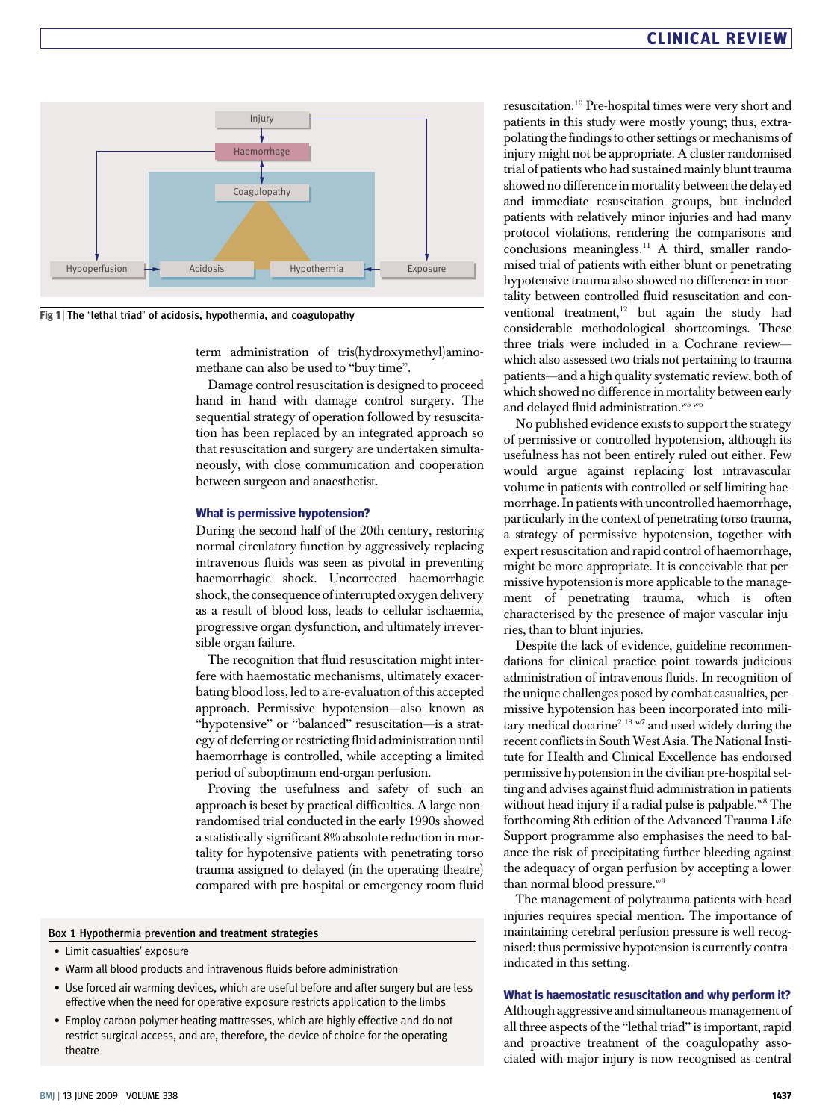

Fig 1 | The "lethal triad" of acidosis, hypothermia, and coagulopathy

term administration of tris(hydroxymethyl)aminomethane can also be used to "buy time".

Damage control resuscitation is designed to proceed hand in hand with damage control surgery. The sequential strategy of operation followed by resuscitation has been replaced by an integrated approach so that resuscitation and surgery are undertaken simultaneously, with close communication and cooperation between surgeon and anaesthetist.

#### What is permissive hypotension?

During the second half of the 20th century, restoring normal circulatory function by aggressively replacing intravenous fluids was seen as pivotal in preventing haemorrhagic shock. Uncorrected haemorrhagic shock, the consequence of interrupted oxygen delivery as a result of blood loss, leads to cellular ischaemia, progressive organ dysfunction, and ultimately irreversible organ failure.

The recognition that fluid resuscitation might interfere with haemostatic mechanisms, ultimately exacerbating blood loss, led to a re-evaluation of this accepted approach. Permissive hypotension—also known as "hypotensive" or "balanced" resuscitation—is a strategy of deferring or restricting fluid administration until haemorrhage is controlled, while accepting a limited period of suboptimum end-organ perfusion.

Proving the usefulness and safety of such an approach is beset by practical difficulties. A large nonrandomised trial conducted in the early 1990s showed a statistically significant 8% absolute reduction in mortality for hypotensive patients with penetrating torso trauma assigned to delayed (in the operating theatre) compared with pre-hospital or emergency room fluid

#### Box 1 Hypothermia prevention and treatment strategies

- Limit casualties' exposure
- Warm all blood products and intravenous fluids before administration
- Use forced air warming devices, which are useful before and after surgery but are less effective when the need for operative exposure restricts application to the limbs
- Employ carbon polymer heating mattresses, which are highly effective and do not restrict surgical access, and are, therefore, the device of choice for the operating theatre

resuscitation.10 Pre-hospital times were very short and patients in this study were mostly young; thus, extrapolating the findings to other settings or mechanisms of injury might not be appropriate. A cluster randomised trial of patients who had sustained mainly blunt trauma showed no difference in mortality between the delayed and immediate resuscitation groups, but included patients with relatively minor injuries and had many protocol violations, rendering the comparisons and conclusions meaningless.<sup>11</sup> A third, smaller randomised trial of patients with either blunt or penetrating hypotensive trauma also showed no difference in mortality between controlled fluid resuscitation and conventional treatment,<sup>12</sup> but again the study had considerable methodological shortcomings. These three trials were included in a Cochrane review which also assessed two trials not pertaining to trauma patients—and a high quality systematic review, both of which showed no difference in mortality between early and delayed fluid administration.<sup>w5 w6</sup>

No published evidence exists to support the strategy of permissive or controlled hypotension, although its usefulness has not been entirely ruled out either. Few would argue against replacing lost intravascular volume in patients with controlled or self limiting haemorrhage. In patients with uncontrolled haemorrhage, particularly in the context of penetrating torso trauma, a strategy of permissive hypotension, together with expert resuscitation and rapid control of haemorrhage, might be more appropriate. It is conceivable that permissive hypotension is more applicable to the management of penetrating trauma, which is often characterised by the presence of major vascular injuries, than to blunt injuries.

Despite the lack of evidence, guideline recommendations for clinical practice point towards judicious administration of intravenous fluids. In recognition of the unique challenges posed by combat casualties, permissive hypotension has been incorporated into military medical doctrine<sup>2 13 w7</sup> and used widely during the recent conflicts in South West Asia. The National Institute for Health and Clinical Excellence has endorsed permissive hypotension in the civilian pre-hospital setting and advises against fluid administration in patients without head injury if a radial pulse is palpable.<sup>w8</sup> The forthcoming 8th edition of the Advanced Trauma Life Support programme also emphasises the need to balance the risk of precipitating further bleeding against the adequacy of organ perfusion by accepting a lower than normal blood pressure.w9

The management of polytrauma patients with head injuries requires special mention. The importance of maintaining cerebral perfusion pressure is well recognised; thus permissive hypotension is currently contraindicated in this setting.

#### What is haemostatic resuscitation and why perform it?

Although aggressive and simultaneous management of all three aspects of the "lethal triad" is important, rapid and proactive treatment of the coagulopathy associated with major injury is now recognised as central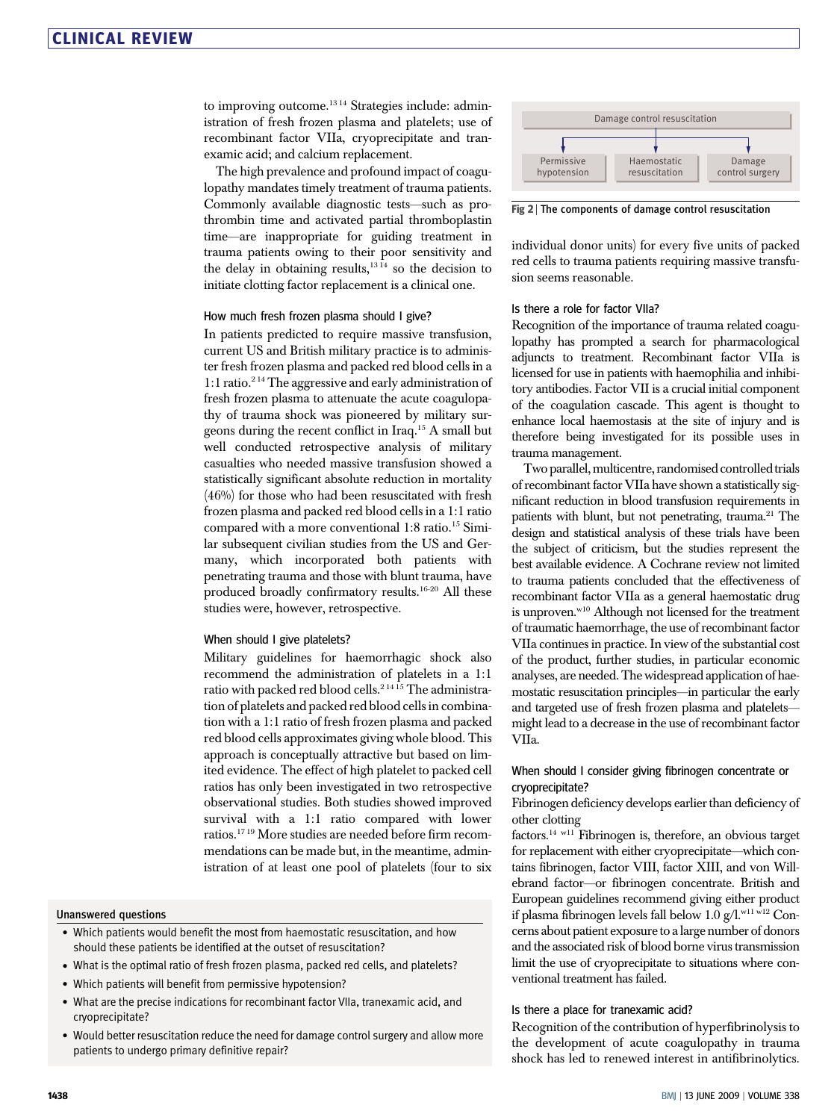to improving outcome.<sup>13 14</sup> Strategies include: administration of fresh frozen plasma and platelets; use of recombinant factor VIIa, cryoprecipitate and tranexamic acid; and calcium replacement.

The high prevalence and profound impact of coagulopathy mandates timely treatment of trauma patients. Commonly available diagnostic tests—such as prothrombin time and activated partial thromboplastin time—are inappropriate for guiding treatment in trauma patients owing to their poor sensitivity and the delay in obtaining results, $13 \text{ Hz}$  so the decision to initiate clotting factor replacement is a clinical one.

#### How much fresh frozen plasma should I give?

In patients predicted to require massive transfusion, current US and British military practice is to administer fresh frozen plasma and packed red blood cells in a 1:1 ratio.2 14 The aggressive and early administration of fresh frozen plasma to attenuate the acute coagulopathy of trauma shock was pioneered by military surgeons during the recent conflict in Iraq.15 A small but well conducted retrospective analysis of military casualties who needed massive transfusion showed a statistically significant absolute reduction in mortality (46%) for those who had been resuscitated with fresh frozen plasma and packed red blood cells in a 1:1 ratio compared with a more conventional 1:8 ratio.<sup>15</sup> Similar subsequent civilian studies from the US and Germany, which incorporated both patients with penetrating trauma and those with blunt trauma, have produced broadly confirmatory results.16-20 All these studies were, however, retrospective.

#### When should I give platelets?

Military guidelines for haemorrhagic shock also recommend the administration of platelets in a 1:1 ratio with packed red blood cells.<sup>21415</sup> The administration of platelets and packed red blood cells in combination with a 1:1 ratio of fresh frozen plasma and packed red blood cells approximates giving whole blood. This approach is conceptually attractive but based on limited evidence. The effect of high platelet to packed cell ratios has only been investigated in two retrospective observational studies. Both studies showed improved survival with a 1:1 ratio compared with lower ratios.17 19 More studies are needed before firm recommendations can be made but, in the meantime, administration of at least one pool of platelets (four to six

#### Unanswered questions

- Which patients would benefit the most from haemostatic resuscitation, and how should these patients be identified at the outset of resuscitation?
- What is the optimal ratio of fresh frozen plasma, packed red cells, and platelets?
- Which patients will benefit from permissive hypotension?
- What are the precise indications for recombinant factor VIIa, tranexamic acid, and cryoprecipitate?
- Would better resuscitation reduce the need for damage control surgery and allow more patients to undergo primary definitive repair?



Fig 2 | The components of damage control resuscitation

individual donor units) for every five units of packed red cells to trauma patients requiring massive transfusion seems reasonable.

#### Is there a role for factor VIIa?

Recognition of the importance of trauma related coagulopathy has prompted a search for pharmacological adjuncts to treatment. Recombinant factor VIIa is licensed for use in patients with haemophilia and inhibitory antibodies. Factor VII is a crucial initial component of the coagulation cascade. This agent is thought to enhance local haemostasis at the site of injury and is therefore being investigated for its possible uses in trauma management.

Two parallel, multicentre, randomised controlled trials of recombinant factor VIIa have shown a statistically significant reduction in blood transfusion requirements in patients with blunt, but not penetrating, trauma.<sup>21</sup> The design and statistical analysis of these trials have been the subject of criticism, but the studies represent the best available evidence. A Cochrane review not limited to trauma patients concluded that the effectiveness of recombinant factor VIIa as a general haemostatic drug is unproven.<sup>w10</sup> Although not licensed for the treatment of traumatic haemorrhage, the use of recombinant factor VIIa continues in practice. In view of the substantial cost of the product, further studies, in particular economic analyses, are needed. The widespread application of haemostatic resuscitation principles—in particular the early and targeted use of fresh frozen plasma and platelets might lead to a decrease in the use of recombinant factor VIIa.

### When should I consider giving fibrinogen concentrate or cryoprecipitate?

Fibrinogen deficiency develops earlier than deficiency of other clotting

factors.14 w11 Fibrinogen is, therefore, an obvious target for replacement with either cryoprecipitate—which contains fibrinogen, factor VIII, factor XIII, and von Willebrand factor—or fibrinogen concentrate. British and European guidelines recommend giving either product if plasma fibrinogen levels fall below 1.0  $g/l.$ <sup>w11 w12</sup> Concerns about patient exposure to a large number of donors and the associated risk of blood borne virus transmission limit the use of cryoprecipitate to situations where conventional treatment has failed.

#### Is there a place for tranexamic acid?

Recognition of the contribution of hyperfibrinolysis to the development of acute coagulopathy in trauma shock has led to renewed interest in antifibrinolytics.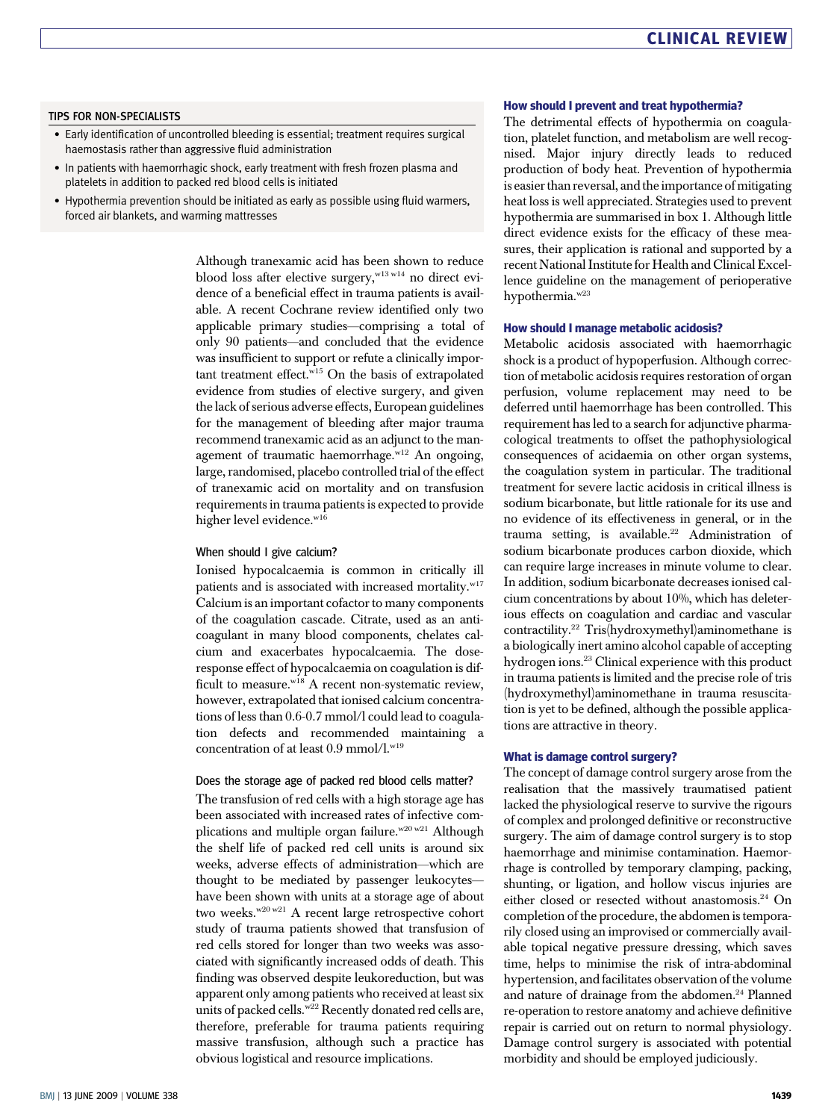# CLINICAL REVIEW

#### TIPS FOR NON-SPECIALISTS

- Early identification of uncontrolled bleeding is essential; treatment requires surgical haemostasis rather than aggressive fluid administration
- In patients with haemorrhagic shock, early treatment with fresh frozen plasma and platelets in addition to packed red blood cells is initiated
- Hypothermia prevention should be initiated as early as possible using fluid warmers, forced air blankets, and warming mattresses

Although tranexamic acid has been shown to reduce blood loss after elective surgery,<sup>w13 w14</sup> no direct evidence of a beneficial effect in trauma patients is available. A recent Cochrane review identified only two applicable primary studies—comprising a total of only 90 patients—and concluded that the evidence was insufficient to support or refute a clinically important treatment effect.<sup>w15</sup> On the basis of extrapolated evidence from studies of elective surgery, and given the lack of serious adverse effects, European guidelines for the management of bleeding after major trauma recommend tranexamic acid as an adjunct to the management of traumatic haemorrhage.<sup>w12</sup> An ongoing, large, randomised, placebo controlled trial of the effect of tranexamic acid on mortality and on transfusion requirements in trauma patients is expected to provide higher level evidence.<sup>w16</sup>

#### When should I give calcium?

Ionised hypocalcaemia is common in critically ill patients and is associated with increased mortality.<sup>w17</sup> Calcium is an important cofactor to many components of the coagulation cascade. Citrate, used as an anticoagulant in many blood components, chelates calcium and exacerbates hypocalcaemia. The doseresponse effect of hypocalcaemia on coagulation is difficult to measure. $w^{18}$  A recent non-systematic review, however, extrapolated that ionised calcium concentrations of less than 0.6-0.7 mmol/l could lead to coagulation defects and recommended maintaining a concentration of at least 0.9 mmol/l.<sup>w19</sup>

#### Does the storage age of packed red blood cells matter?

The transfusion of red cells with a high storage age has been associated with increased rates of infective complications and multiple organ failure. $w^{20 w21}$  Although the shelf life of packed red cell units is around six weeks, adverse effects of administration—which are thought to be mediated by passenger leukocytes have been shown with units at a storage age of about two weeks.<sup>w20 w21</sup> A recent large retrospective cohort study of trauma patients showed that transfusion of red cells stored for longer than two weeks was associated with significantly increased odds of death. This finding was observed despite leukoreduction, but was apparent only among patients who received at least six units of packed cells.<sup>w22</sup> Recently donated red cells are, therefore, preferable for trauma patients requiring massive transfusion, although such a practice has obvious logistical and resource implications.

#### How should I prevent and treat hypothermia?

The detrimental effects of hypothermia on coagulation, platelet function, and metabolism are well recognised. Major injury directly leads to reduced production of body heat. Prevention of hypothermia is easier than reversal, and the importance of mitigating heat loss is well appreciated. Strategies used to prevent hypothermia are summarised in box 1. Although little direct evidence exists for the efficacy of these measures, their application is rational and supported by a recent National Institute for Health and Clinical Excellence guideline on the management of perioperative hypothermia.<sup>w23</sup>

#### How should I manage metabolic acidosis?

Metabolic acidosis associated with haemorrhagic shock is a product of hypoperfusion. Although correction of metabolic acidosis requires restoration of organ perfusion, volume replacement may need to be deferred until haemorrhage has been controlled. This requirement has led to a search for adjunctive pharmacological treatments to offset the pathophysiological consequences of acidaemia on other organ systems, the coagulation system in particular. The traditional treatment for severe lactic acidosis in critical illness is sodium bicarbonate, but little rationale for its use and no evidence of its effectiveness in general, or in the trauma setting, is available.<sup>22</sup> Administration of sodium bicarbonate produces carbon dioxide, which can require large increases in minute volume to clear. In addition, sodium bicarbonate decreases ionised calcium concentrations by about 10%, which has deleterious effects on coagulation and cardiac and vascular contractility.22 Tris(hydroxymethyl)aminomethane is a biologically inert amino alcohol capable of accepting hydrogen ions.23 Clinical experience with this product in trauma patients is limited and the precise role of tris (hydroxymethyl)aminomethane in trauma resuscitation is yet to be defined, although the possible applications are attractive in theory.

#### What is damage control surgery?

The concept of damage control surgery arose from the realisation that the massively traumatised patient lacked the physiological reserve to survive the rigours of complex and prolonged definitive or reconstructive surgery. The aim of damage control surgery is to stop haemorrhage and minimise contamination. Haemorrhage is controlled by temporary clamping, packing, shunting, or ligation, and hollow viscus injuries are either closed or resected without anastomosis.<sup>24</sup> On completion of the procedure, the abdomen is temporarily closed using an improvised or commercially available topical negative pressure dressing, which saves time, helps to minimise the risk of intra-abdominal hypertension, and facilitates observation of the volume and nature of drainage from the abdomen.<sup>24</sup> Planned re-operation to restore anatomy and achieve definitive repair is carried out on return to normal physiology. Damage control surgery is associated with potential morbidity and should be employed judiciously.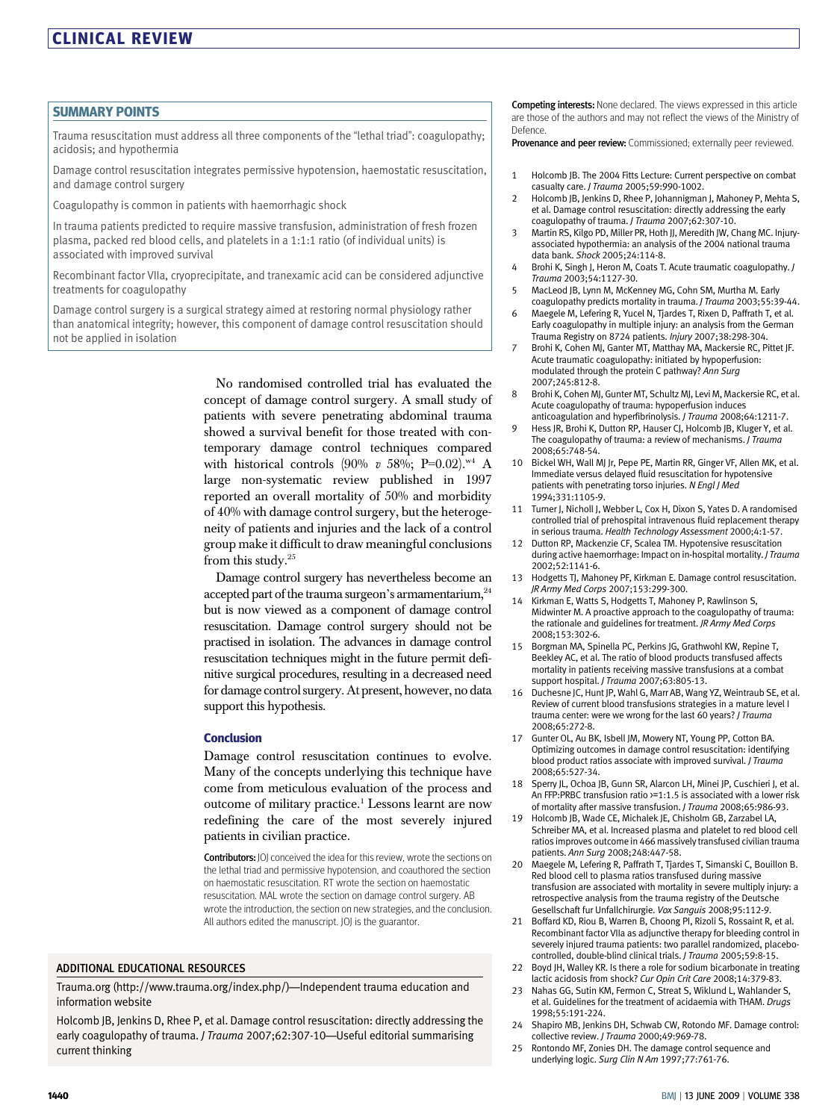#### SUMMARY POINTS

Trauma resuscitation must address all three components of the "lethal triad": coagulopathy; acidosis; and hypothermia

Damage control resuscitation integrates permissive hypotension, haemostatic resuscitation, and damage control surgery

Coagulopathy is common in patients with haemorrhagic shock

In trauma patients predicted to require massive transfusion, administration of fresh frozen plasma, packed red blood cells, and platelets in a 1:1:1 ratio (of individual units) is associated with improved survival

Recombinant factor VIIa, cryoprecipitate, and tranexamic acid can be considered adjunctive treatments for coagulopathy

Damage control surgery is a surgical strategy aimed at restoring normal physiology rather than anatomical integrity; however, this component of damage control resuscitation should not be applied in isolation

> No randomised controlled trial has evaluated the concept of damage control surgery. A small study of patients with severe penetrating abdominal trauma showed a survival benefit for those treated with contemporary damage control techniques compared with historical controls (90% v 58%; P=0.02).<sup>w4</sup> A large non-systematic review published in 1997 reported an overall mortality of 50% and morbidity of 40% with damage control surgery, but the heterogeneity of patients and injuries and the lack of a control group make it difficult to draw meaningful conclusions from this study.<sup>25</sup>

> Damage control surgery has nevertheless become an accepted part of the trauma surgeon's armamentarium,<sup>24</sup> but is now viewed as a component of damage control resuscitation. Damage control surgery should not be practised in isolation. The advances in damage control resuscitation techniques might in the future permit definitive surgical procedures, resulting in a decreased need for damage control surgery. At present, however, no data support this hypothesis.

#### **Conclusion**

Damage control resuscitation continues to evolve. Many of the concepts underlying this technique have come from meticulous evaluation of the process and outcome of military practice.1 Lessons learnt are now redefining the care of the most severely injured patients in civilian practice.

Contributors: JOJ conceived the idea for this review, wrote the sections on the lethal triad and permissive hypotension, and coauthored the section on haemostatic resuscitation. RT wrote the section on haemostatic resuscitation. MAL wrote the section on damage control surgery. AB wrote the introduction, the section on new strategies, and the conclusion. All authors edited the manuscript. JOJ is the guarantor.

#### ADDITIONAL EDUCATIONAL RESOURCES

Trauma.org (http://www.trauma.org/index.php/)—Independent trauma education and information website

Holcomb JB, Jenkins D, Rhee P, et al. Damage control resuscitation: directly addressing the early coagulopathy of trauma. J Trauma 2007;62:307-10-Useful editorial summarising current thinking

Competing interests: None declared. The views expressed in this article are those of the authors and may not reflect the views of the Ministry of Defence.

Provenance and peer review: Commissioned; externally peer reviewed.

- 1 Holcomb JB. The 2004 Fitts Lecture: Current perspective on combat casualty care. J Trauma 2005;59:990-1002.
- 2 Holcomb JB, Jenkins D, Rhee P, Johannigman J, Mahoney P, Mehta S, et al. Damage control resuscitation: directly addressing the early coagulopathy of trauma. J Trauma 2007;62:307-10.
- 3 Martin RS, Kilgo PD, Miller PR, Hoth JJ, Meredith JW, Chang MC. Injuryassociated hypothermia: an analysis of the 2004 national trauma data bank. Shock 2005;24:114-8.
- 4 Brohi K, Singh J, Heron M, Coats T. Acute traumatic coagulopathy. J Trauma 2003;54:1127-30.
- 5 MacLeod JB, Lynn M, McKenney MG, Cohn SM, Murtha M. Early
- coagulopathy predicts mortality in trauma. J Trauma 2003;55:39-44. 6 Maegele M, Lefering R, Yucel N, Tjardes T, Rixen D, Paffrath T, et al. Early coagulopathy in multiple injury: an analysis from the German
- Trauma Registry on 8724 patients. Injury 2007;38:298-304. 7 Brohi K, Cohen MJ, Ganter MT, Matthay MA, Mackersie RC, Pittet JF. Acute traumatic coagulopathy: initiated by hypoperfusion: modulated through the protein C pathway? Ann Surg 2007;245:812-8.
- 8 Brohi K, Cohen MJ, Gunter MT, Schultz MJ, Levi M, Mackersie RC, et al. Acute coagulopathy of trauma: hypoperfusion induces anticoagulation and hyperfibrinolysis. J Trauma 2008;64:1211-7.
- 9 Hess JR, Brohi K, Dutton RP, Hauser CJ, Holcomb JB, Kluger Y, et al. The coagulopathy of trauma: a review of mechanisms. *J Trauma* 2008;65:748-54.
- 10 Bickel WH, Wall MJ Jr, Pepe PE, Martin RR, Ginger VF, Allen MK, et al. Immediate versus delayed fluid resuscitation for hypotensive patients with penetrating torso injuries. N Engl J Med 1994;331:1105-9.
- 11 Turner J, Nicholl J, Webber L, Cox H, Dixon S, Yates D. A randomised controlled trial of prehospital intravenous fluid replacement therapy in serious trauma. Health Technology Assessment 2000;4:1-57.
- 12 Dutton RP, Mackenzie CF, Scalea TM. Hypotensive resuscitation during active haemorrhage: Impact on in-hospital mortality. J Trauma 2002;52:1141-6.
- Hodgetts TJ, Mahoney PF, Kirkman E. Damage control resuscitation. JR Army Med Corps 2007;153:299-300.
- Kirkman E, Watts S, Hodgetts T, Mahoney P, Rawlinson S, Midwinter M. A proactive approach to the coagulopathy of trauma: the rationale and guidelines for treatment. JR Army Med Corps 2008;153:302-6.
- 15 Borgman MA, Spinella PC, Perkins JG, Grathwohl KW, Repine T, Beekley AC, et al. The ratio of blood products transfused affects mortality in patients receiving massive transfusions at a combat support hospital. J Trauma 2007;63:805-13.
- 16 Duchesne JC, Hunt JP, Wahl G, Marr AB, Wang YZ, Weintraub SE, et al. Review of current blood transfusions strategies in a mature level I trauma center: were we wrong for the last 60 years? J Trauma 2008;65:272-8.
- Gunter OL, Au BK, Isbell JM, Mowery NT, Young PP, Cotton BA. Optimizing outcomes in damage control resuscitation: identifying blood product ratios associate with improved survival. J Trauma 2008;65:527-34.
- 18 Sperry JL, Ochoa JB, Gunn SR, Alarcon LH, Minei JP, Cuschieri J, et al. An FFP:PRBC transfusion ratio >=1:1.5 is associated with a lower risk of mortality after massive transfusion. J Trauma 2008;65:986-93.
- 19 Holcomb JB, Wade CE, Michalek JE, Chisholm GB, Zarzabel LA, Schreiber MA, et al. Increased plasma and platelet to red blood cell ratios improves outcome in 466 massively transfused civilian trauma patients. Ann Surg 2008;248:447-58.
- 20 Maegele M, Lefering R, Paffrath T, Tjardes T, Simanski C, Bouillon B. Red blood cell to plasma ratios transfused during massive transfusion are associated with mortality in severe multiply injury: a retrospective analysis from the trauma registry of the Deutsche Gesellschaft fur Unfallchirurgie. Vox Sanguis 2008;95:112-9.
- 21 Boffard KD, Riou B, Warren B, Choong PI, Rizoli S, Rossaint R, et al. Recombinant factor VIIa as adjunctive therapy for bleeding control in severely injured trauma patients: two parallel randomized, placebocontrolled, double-blind clinical trials. J Trauma 2005;59:8-15.
- 22 Boyd IH, Walley KR, Is there a role for sodium bicarbonate in treating lactic acidosis from shock? Cur Opin Crit Care 2008;14:379-83.
- 23 Nahas GG, Sutin KM, Fermon C, Streat S, Wiklund L, Wahlander S, et al. Guidelines for the treatment of acidaemia with THAM. Drugs 1998;55:191-224.
- 24 Shapiro MB, Jenkins DH, Schwab CW, Rotondo MF. Damage control: collective review. J Trauma 2000;49:969-78.
- 25 Rontondo MF, Zonies DH. The damage control sequence and underlying logic. Surg Clin N Am 1997;77:761-76.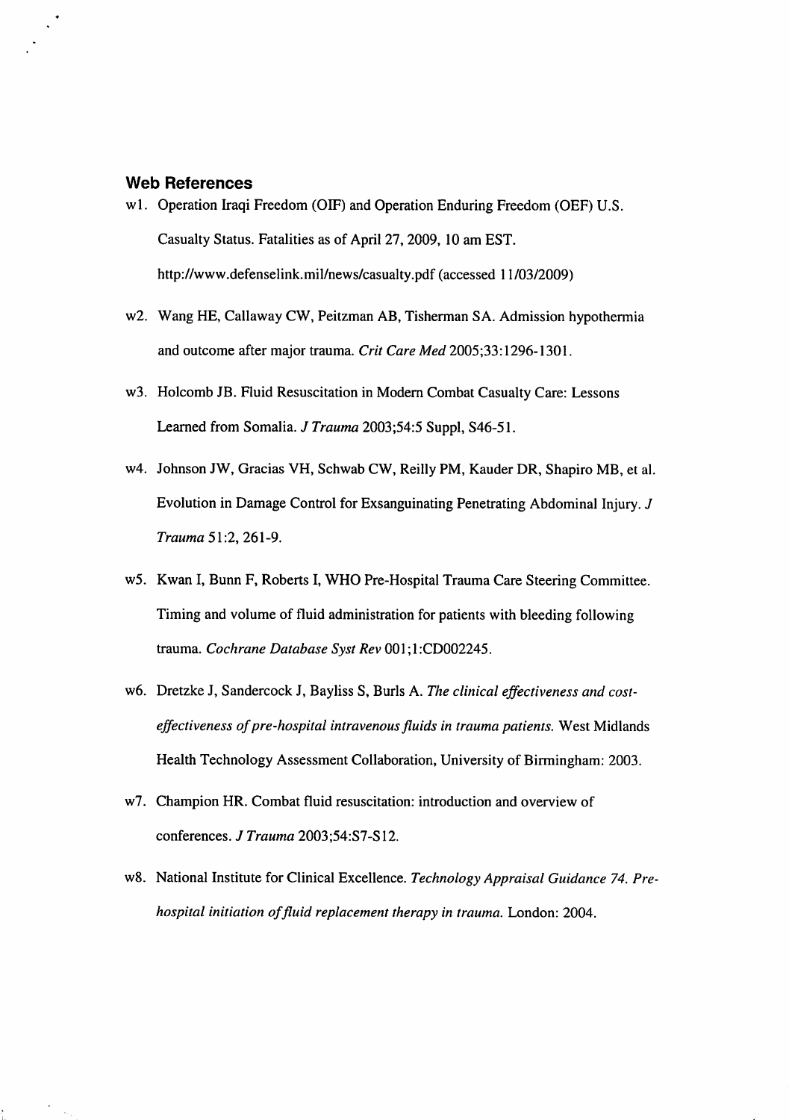## *Web References*

- wl. Operation Iraqi Freedom (OIF) and Operation Enduring Freedom (OEF) U.S. Casualty Status. Fatalities as of April 27, 2009, 10 am EST. http://www.defenselink.mil/news/casualty.pdf (accessed 11/03/2009)
- w2. Wang HE, Callaway CW, Peitzman AB, Tisherman SA. Admission hypothermia and outcome after major trauma. **Crit Care Med** 2005;33:1296-1301.
- w3. Holcomb JB. Fluid Resuscitation in Modern Combat Casualty Care: Lessons Learned from Somalia. **J Trauma** 2003;54:5 Suppl, S46-51.
- w4. Johnson JW, Gracias VH, Schwab CW, Reilly PM, Kauder DR, Shapiro MB, et al. Evolution in Damage Control for Exsanguinating Penetrating Abdominal Injury. **J Trauma** 51:2, 261-9.
- w5. Kwan I, Bunn F, Roberts I, WHO Pre-Hospital Trauma Care Steering Committee. Timing and volume of fluid administration for patients with bleeding following trauma. **Cochrane Database Syst Rev** 001;1:CD002245.
- w6. Dretzke J, Sandercock J, Bayliss S, Burls A. **The clinical effectivenessand costeffectiveness ofpre-hospital intravenousfluids in traumapatients.** West Midlands Health Technology Assessment Collaboration, University of Birmingham: 2003.
- w7. Champion HR. Combat fluid resuscitation: introduction and overview of conferences. **J Trauma** 2003;54:S7-S12.
- w8. National Institute for Clinical Excellence. **Technology Appraisal Guidance 74. Pre hospital initiation offluid replacement therapy in trauma.** London: 2004.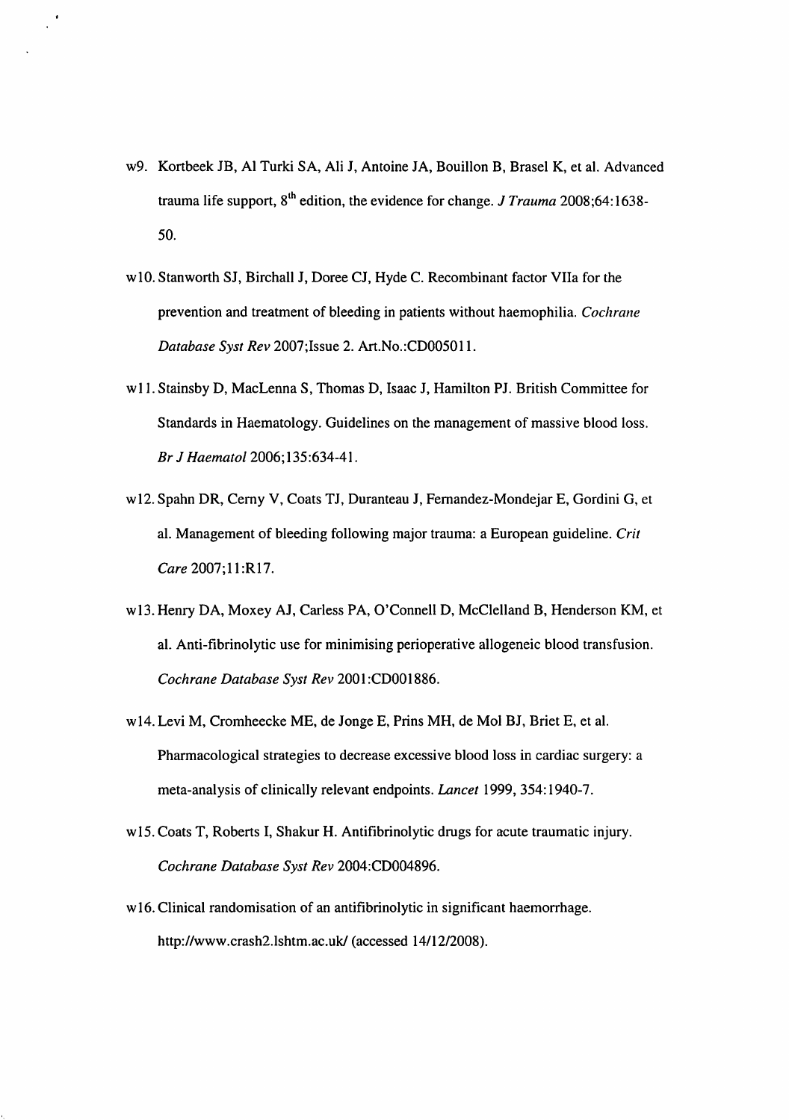w9. Kortbeek JB, Al Turki SA, Ali J, Antoine JA, Bouillon B, Brasel K, et al. Advanced trauma life support, 8<sup>th</sup> edition, the evidence for change. *J Trauma* 2008;64:1638-50.

 $\bullet$ 

- wlO. Stanworth SJ, Birchall J, Doree CJ, Hyde C. Recombinant factor Vila for the prevention and treatment of bleeding in patients without haemophilia. **Cochrane Database Syst Rev** 2007;Issue 2. Art.No.:CD005011.
- w 11. Stainsby D, MacLenna S, Thomas D, Isaac J, Hamilton PJ. British Committee for Standards in Haematology. Guidelines on the management of massive blood loss. **Br J Haematol** 2006;135:634-41.
- wl2. Spahn DR, Cerny V, Coats TJ, Duranteau J, Femandez-Mondejar E, Gordini G, et al. Management of bleeding following major trauma: a European guideline. **Crit Care** 2007;11:R17.
- wl3. Henry DA, Moxey AJ, Carless PA, O'Connell D, McClelland B, Henderson KM, et al. Anti-fibrinolytic use for minimising perioperative allogeneic blood transfusion. **Cochrane Database Syst Rev** 2001 :CD001886.
- wl4. Levi M, Cromheecke ME, de Jonge E, Prins MH, de Mol BJ, Briet E, et al. Pharmacological strategies to decrease excessive blood loss in cardiac surgery: a meta-analysis of clinically relevant endpoints. **Lancet** 1999, 354:1940-7.
- wl5. Coats T, Roberts I, Shakur H. Antifibrinolytic drugs for acute traumatic injury. **Cochrane Database Syst Rev** 2004:CD004896.
- w16. Clinical randomisation of an antifibrinolytic in significant haemorrhage. http://www.crash2.lshtm.ac.uk/ (accessed 14/12/2008).